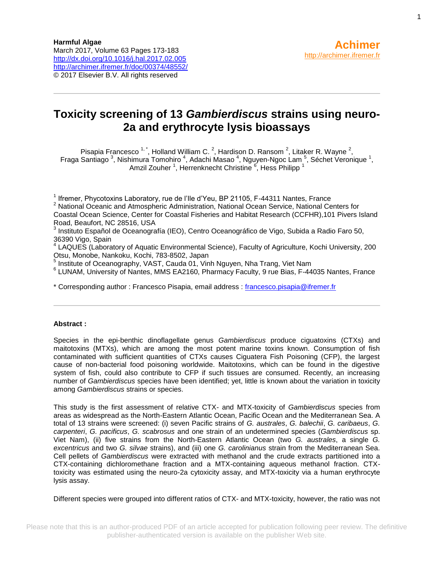# **Toxicity screening of 13** *Gambierdiscus* **strains using neuro-2a and erythrocyte lysis bioassays**

Pisapia Francesco<sup>1,\*</sup>, Holland William C.<sup>2</sup>, Hardison D. Ransom<sup>2</sup>, Litaker R. Wayne<sup>2</sup>, Fraga Santiago <sup>3</sup>, Nishimura Tomohiro <sup>4</sup>, Adachi Masao <sup>4</sup>, Nguyen-Ngoc Lam <sup>5</sup>, Séchet Veronique <sup>1</sup>, Amzil Zouher<sup>1</sup>, Herrenknecht Christine<sup>6</sup>, Hess Philipp<sup>1</sup>

<sup>1</sup> Ifremer, Phycotoxins Laboratory, rue de l'Ile d'Yeu, BP 21105, F-44311 Nantes, France

<sup>2</sup> National Oceanic and Atmospheric Administration, National Ocean Service, National Centers for Coastal Ocean Science, Center for Coastal Fisheries and Habitat Research (CCFHR),101 Pivers Island Road, Beaufort, NC 28516, USA

 $^3$  Instituto Español de Oceanografía (IEO), Centro Oceanográfico de Vigo, Subida a Radio Faro 50, 36390 Vigo, Spain

4 LAQUES (Laboratory of Aquatic Environmental Science), Faculty of Agriculture, Kochi University, 200 Otsu, Monobe, Nankoku, Kochi, 783-8502, Japan

<sup>5</sup> Institute of Oceanography, VAST, Cauda 01, Vinh Nguyen, Nha Trang, Viet Nam

6 LUNAM, University of Nantes, MMS EA2160, Pharmacy Faculty, 9 rue Bias, F-44035 Nantes, France

\* Corresponding author : Francesco Pisapia, email address : [francesco.pisapia@ifremer.fr](mailto:francesco.pisapia@ifremer.fr)

#### **Abstract :**

Species in the epi-benthic dinoflagellate genus *Gambierdiscus* produce ciguatoxins (CTXs) and maitotoxins (MTXs), which are among the most potent marine toxins known. Consumption of fish contaminated with sufficient quantities of CTXs causes Ciguatera Fish Poisoning (CFP), the largest cause of non-bacterial food poisoning worldwide. Maitotoxins, which can be found in the digestive system of fish, could also contribute to CFP if such tissues are consumed. Recently, an increasing number of *Gambierdiscus* species have been identified; yet, little is known about the variation in toxicity among *Gambierdiscus* strains or species.

This study is the first assessment of relative CTX- and MTX-toxicity of *Gambierdiscus* species from areas as widespread as the North-Eastern Atlantic Ocean, Pacific Ocean and the Mediterranean Sea. A total of 13 strains were screened: (i) seven Pacific strains of *G. australes*, *G. balechii*, *G. caribaeus*, *G. carpenteri*, *G. pacificus*, *G. scabrosus* and one strain of an undetermined species (*Gambierdiscus* sp. Viet Nam), (ii) five strains from the North-Eastern Atlantic Ocean (two *G. australes*, a single *G. excentricus* and two *G. silvae* strains), and (iii) one *G. carolinianus* strain from the Mediterranean Sea. Cell pellets of *Gambierdiscus* were extracted with methanol and the crude extracts partitioned into a CTX-containing dichloromethane fraction and a MTX-containing aqueous methanol fraction. CTXtoxicity was estimated using the neuro-2a cytoxicity assay, and MTX-toxicity via a human erythrocyte lysis assay.

Different species were grouped into different ratios of CTX- and MTX-toxicity, however, the ratio was not

1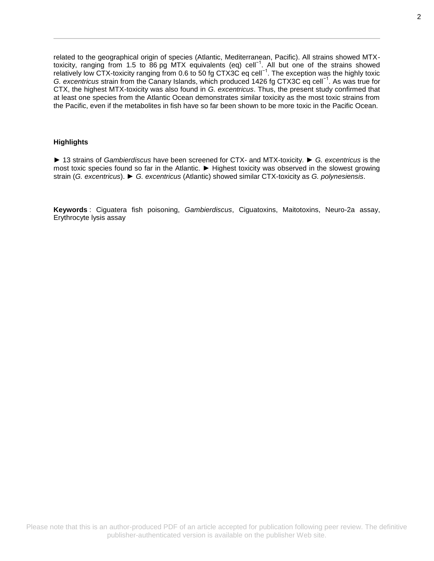related to the geographical origin of species (Atlantic, Mediterranean, Pacific). All strains showed MTXtoxicity, ranging from 1.5 to 86 pg MTX equivalents (eq) cell<sup>-1</sup>. All but one of the strains showed relatively low CTX-toxicity ranging from 0.6 to 50 fg CTX3C eq cell−1. The exception was the highly toxic *G. excentricus* strain from the Canary Islands, which produced 1426 fg CTX3C eq cell−1. As was true for CTX, the highest MTX-toxicity was also found in *G. excentricus*. Thus, the present study confirmed that at least one species from the Atlantic Ocean demonstrates similar toxicity as the most toxic strains from the Pacific, even if the metabolites in fish have so far been shown to be more toxic in the Pacific Ocean.

#### **Highlights**

► 13 strains of *Gambierdiscus* have been screened for CTX- and MTX-toxicity. ► *G. excentricus* is the most toxic species found so far in the Atlantic. ► Highest toxicity was observed in the slowest growing strain (*G. excentricus*). ► *G. excentricus* (Atlantic) showed similar CTX-toxicity as *G. polynesiensis*.

**Keywords** : Ciguatera fish poisoning, *Gambierdiscus*, Ciguatoxins, Maitotoxins, Neuro-2a assay, Erythrocyte lysis assay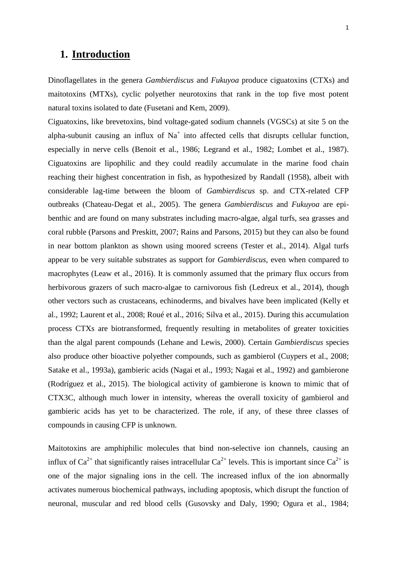## **1. Introduction**

Dinoflagellates in the genera *Gambierdiscus* and *Fukuyoa* produce ciguatoxins (CTXs) and maitotoxins (MTXs), cyclic polyether neurotoxins that rank in the top five most potent natural toxins isolated to date (Fusetani and Kem, 2009).

Ciguatoxins, like brevetoxins, bind voltage-gated sodium channels (VGSCs) at site 5 on the alpha-subunit causing an influx of  $Na<sup>+</sup>$  into affected cells that disrupts cellular function, especially in nerve cells (Benoit et al., 1986; Legrand et al., 1982; Lombet et al., 1987). Ciguatoxins are lipophilic and they could readily accumulate in the marine food chain reaching their highest concentration in fish, as hypothesized by Randall (1958), albeit with considerable lag-time between the bloom of *Gambierdiscus* sp. and CTX-related CFP outbreaks (Chateau-Degat et al., 2005). The genera *Gambierdiscus* and *Fukuyoa* are epibenthic and are found on many substrates including macro-algae, algal turfs, sea grasses and coral rubble (Parsons and Preskitt, 2007; Rains and Parsons, 2015) but they can also be found in near bottom plankton as shown using moored screens (Tester et al., 2014). Algal turfs appear to be very suitable substrates as support for *Gambierdiscus*, even when compared to macrophytes (Leaw et al., 2016). It is commonly assumed that the primary flux occurs from herbivorous grazers of such macro-algae to carnivorous fish (Ledreux et al., 2014), though other vectors such as crustaceans, echinoderms, and bivalves have been implicated (Kelly et al., 1992; Laurent et al., 2008; Roué et al., 2016; Silva et al., 2015). During this accumulation process CTXs are biotransformed, frequently resulting in metabolites of greater toxicities than the algal parent compounds (Lehane and Lewis, 2000). Certain *Gambierdiscus* species also produce other bioactive polyether compounds, such as gambierol (Cuypers et al., 2008; Satake et al., 1993a), gambieric acids (Nagai et al., 1993; Nagai et al., 1992) and gambierone (Rodríguez et al., 2015). The biological activity of gambierone is known to mimic that of CTX3C, although much lower in intensity, whereas the overall toxicity of gambierol and gambieric acids has yet to be characterized. The role, if any, of these three classes of compounds in causing CFP is unknown.

Maitotoxins are amphiphilic molecules that bind non-selective ion channels, causing an influx of  $Ca^{2+}$  that significantly raises intracellular  $Ca^{2+}$  levels. This is important since  $Ca^{2+}$  is one of the major signaling ions in the cell. The increased influx of the ion abnormally activates numerous biochemical pathways, including apoptosis, which disrupt the function of neuronal, muscular and red blood cells (Gusovsky and Daly, 1990; Ogura et al., 1984;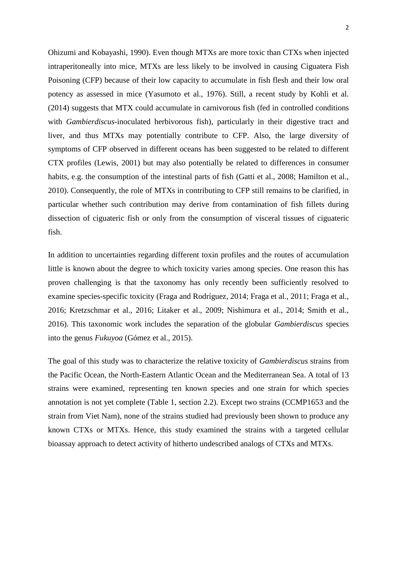Ohizumi and Kobayashi, 1990). Even though MTXs are more toxic than CTXs when injected intraperitoneally into mice, MTXs are less likely to be involved in causing Ciguatera Fish Poisoning (CFP) because of their low capacity to accumulate in fish flesh and their low oral potency as assessed in mice (Yasumoto et al., 1976). Still, a recent study by Kohli et al. (2014) suggests that MTX could accumulate in carnivorous fish (fed in controlled conditions with *Gambierdiscus*-inoculated herbivorous fish), particularly in their digestive tract and liver, and thus MTXs may potentially contribute to CFP. Also, the large diversity of symptoms of CFP observed in different oceans has been suggested to be related to different CTX profiles (Lewis, 2001) but may also potentially be related to differences in consumer habits, e.g. the consumption of the intestinal parts of fish (Gatti et al., 2008; Hamilton et al., 2010). Consequently, the role of MTXs in contributing to CFP still remains to be clarified, in particular whether such contribution may derive from contamination of fish fillets during dissection of ciguateric fish or only from the consumption of visceral tissues of ciguateric fish.

In addition to uncertainties regarding different toxin profiles and the routes of accumulation little is known about the degree to which toxicity varies among species. One reason this has proven challenging is that the taxonomy has only recently been sufficiently resolved to examine species-specific toxicity (Fraga and Rodríguez, 2014; Fraga et al., 2011; Fraga et al., 2016; Kretzschmar et al., 2016; Litaker et al., 2009; Nishimura et al., 2014; Smith et al., 2016). This taxonomic work includes the separation of the globular *Gambierdiscus* species into the genus *Fukuyoa* (Gómez et al., 2015).

The goal of this study was to characterize the relative toxicity of *Gambierdiscus* strains from the Pacific Ocean, the North-Eastern Atlantic Ocean and the Mediterranean Sea. A total of 13 strains were examined, representing ten known species and one strain for which species annotation is not yet complete (Table 1, section 2.2). Except two strains (CCMP1653 and the strain from Viet Nam), none of the strains studied had previously been shown to produce any known CTXs or MTXs. Hence, this study examined the strains with a targeted cellular bioassay approach to detect activity of hitherto undescribed analogs of CTXs and MTXs.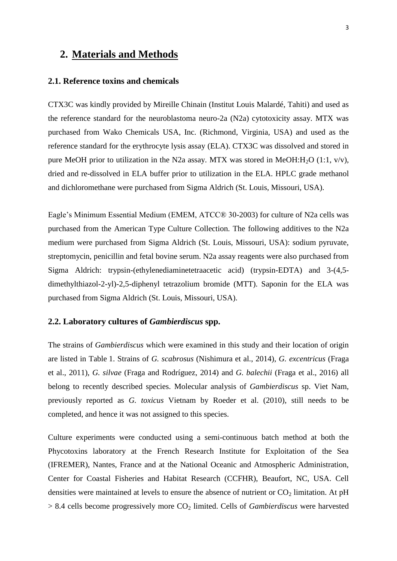## **2. Materials and Methods**

### **2.1. Reference toxins and chemicals**

CTX3C was kindly provided by Mireille Chinain (Institut Louis Malardé, Tahiti) and used as the reference standard for the neuroblastoma neuro-2a (N2a) cytotoxicity assay. MTX was purchased from Wako Chemicals USA, Inc. (Richmond, Virginia, USA) and used as the reference standard for the erythrocyte lysis assay (ELA). CTX3C was dissolved and stored in pure MeOH prior to utilization in the N2a assay. MTX was stored in MeOH: $H_2O$  (1:1, v/v), dried and re-dissolved in ELA buffer prior to utilization in the ELA. HPLC grade methanol and dichloromethane were purchased from Sigma Aldrich (St. Louis, Missouri, USA).

Eagle's Minimum Essential Medium (EMEM, ATCC® 30-2003) for culture of N2a cells was purchased from the American Type Culture Collection. The following additives to the N2a medium were purchased from Sigma Aldrich (St. Louis, Missouri, USA): sodium pyruvate, streptomycin, penicillin and fetal bovine serum. N2a assay reagents were also purchased from Sigma Aldrich: trypsin-(ethylenediaminetetraacetic acid) (trypsin-EDTA) and 3-(4,5 dimethylthiazol-2-yl)-2,5-diphenyl tetrazolium bromide (MTT). Saponin for the ELA was purchased from Sigma Aldrich (St. Louis, Missouri, USA).

### **2.2. Laboratory cultures of** *Gambierdiscus* **spp.**

The strains of *Gambierdiscus* which were examined in this study and their location of origin are listed in Table 1. Strains of *G. scabrosus* (Nishimura et al., 2014), *G. excentricus* (Fraga et al., 2011), *G. silvae* (Fraga and Rodríguez, 2014) and *G. balechii* (Fraga et al., 2016) all belong to recently described species. Molecular analysis of *Gambierdiscus* sp. Viet Nam, previously reported as *G. toxicus* Vietnam by Roeder et al. (2010), still needs to be completed, and hence it was not assigned to this species.

Culture experiments were conducted using a semi-continuous batch method at both the Phycotoxins laboratory at the French Research Institute for Exploitation of the Sea (IFREMER), Nantes, France and at the National Oceanic and Atmospheric Administration, Center for Coastal Fisheries and Habitat Research (CCFHR), Beaufort, NC, USA. Cell densities were maintained at levels to ensure the absence of nutrient or  $CO<sub>2</sub>$  limitation. At pH > 8.4 cells become progressively more CO<sup>2</sup> limited. Cells of *Gambierdiscus* were harvested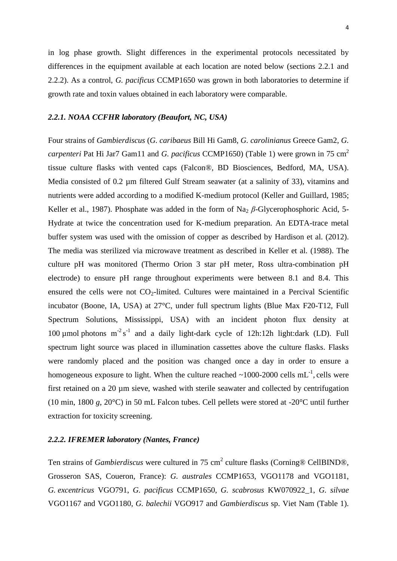in log phase growth. Slight differences in the experimental protocols necessitated by differences in the equipment available at each location are noted below (sections 2.2.1 and 2.2.2). As a control, *G. pacificus* CCMP1650 was grown in both laboratories to determine if growth rate and toxin values obtained in each laboratory were comparable.

#### *2.2.1. NOAA CCFHR laboratory (Beaufort, NC, USA)*

Four strains of *Gambierdiscus* (*G. caribaeus* Bill Hi Gam8, *G. carolinianus* Greece Gam2, *G. carpenteri* Pat Hi Jar7 Gam11 and *G. pacificus* CCMP1650) (Table 1) were grown in 75 cm<sup>2</sup> tissue culture flasks with vented caps (Falcon®, BD Biosciences, Bedford, MA, USA). Media consisted of 0.2 µm filtered Gulf Stream seawater (at a salinity of 33), vitamins and nutrients were added according to a modified K-medium protocol (Keller and Guillard, 1985; Keller et al., 1987). Phosphate was added in the form of Na<sub>2</sub> β-Glycerophosphoric Acid, 5-Hydrate at twice the concentration used for K-medium preparation. An EDTA-trace metal buffer system was used with the omission of copper as described by Hardison et al. (2012). The media was sterilized via microwave treatment as described in Keller et al. (1988). The culture pH was monitored (Thermo Orion 3 star pH meter, Ross ultra-combination pH electrode) to ensure pH range throughout experiments were between 8.1 and 8.4. This ensured the cells were not  $CO<sub>2</sub>$ -limited. Cultures were maintained in a Percival Scientific incubator (Boone, IA, USA) at 27°C, under full spectrum lights (Blue Max F20-T12, Full Spectrum Solutions, Mississippi, USA) with an incident photon flux density at 100 µmol photons  $m^{-2} s^{-1}$  and a daily light-dark cycle of 12h:12h light:dark (LD). Full spectrum light source was placed in illumination cassettes above the culture flasks. Flasks were randomly placed and the position was changed once a day in order to ensure a homogeneous exposure to light. When the culture reached  $\sim$ 1000-2000 cells mL<sup>-1</sup>, cells were first retained on a 20 µm sieve, washed with sterile seawater and collected by centrifugation (10 min, 1800 *g*, 20°C) in 50 mL Falcon tubes. Cell pellets were stored at -20°C until further extraction for toxicity screening.

### *2.2.2. IFREMER laboratory (Nantes, France)*

Ten strains of *Gambierdiscus* were cultured in 75 cm<sup>2</sup> culture flasks (Corning® CellBIND®, Grosseron SAS, Coueron, France): *G. australes* CCMP1653, VGO1178 and VGO1181, *G. excentricus* VGO791, *G. pacificus* CCMP1650, *G. scabrosus* KW070922\_1, *G. silvae* VGO1167 and VGO1180, *G. balechii* VGO917 and *Gambierdiscus* sp. Viet Nam (Table 1).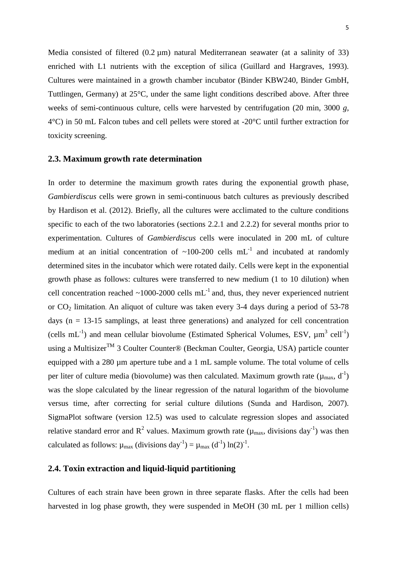Media consisted of filtered  $(0.2 \mu m)$  natural Mediterranean seawater (at a salinity of 33) enriched with L1 nutrients with the exception of silica (Guillard and Hargraves, 1993). Cultures were maintained in a growth chamber incubator (Binder KBW240, Binder GmbH, Tuttlingen, Germany) at 25°C, under the same light conditions described above. After three weeks of semi-continuous culture, cells were harvested by centrifugation (20 min, 3000 *g*, 4°C) in 50 mL Falcon tubes and cell pellets were stored at -20°C until further extraction for toxicity screening.

## **2.3. Maximum growth rate determination**

In order to determine the maximum growth rates during the exponential growth phase, *Gambierdiscus* cells were grown in semi-continuous batch cultures as previously described by Hardison et al. (2012). Briefly, all the cultures were acclimated to the culture conditions specific to each of the two laboratories (sections 2.2.1 and 2.2.2) for several months prior to experimentation. Cultures of *Gambierdiscus* cells were inoculated in 200 mL of culture medium at an initial concentration of  $\sim$ 100-200 cells mL<sup>-1</sup> and incubated at randomly determined sites in the incubator which were rotated daily. Cells were kept in the exponential growth phase as follows: cultures were transferred to new medium (1 to 10 dilution) when cell concentration reached  $\sim$ 1000-2000 cells mL<sup>-1</sup> and, thus, they never experienced nutrient or  $CO<sub>2</sub>$  limitation. An aliquot of culture was taken every 3-4 days during a period of 53-78 days ( $n = 13-15$  samplings, at least three generations) and analyzed for cell concentration (cells  $mL^{-1}$ ) and mean cellular biovolume (Estimated Spherical Volumes, ESV,  $\mu m^3$  cell<sup>-1</sup>) using a Multisizer<sup>TM</sup> 3 Coulter Counter<sup>®</sup> (Beckman Coulter, Georgia, USA) particle counter equipped with a 280 µm aperture tube and a 1 mL sample volume. The total volume of cells per liter of culture media (biovolume) was then calculated. Maximum growth rate ( $\mu_{max}$ , d<sup>-1</sup>) was the slope calculated by the linear regression of the natural logarithm of the biovolume versus time, after correcting for serial culture dilutions (Sunda and Hardison, 2007). SigmaPlot software (version 12.5) was used to calculate regression slopes and associated relative standard error and  $R^2$  values. Maximum growth rate ( $\mu_{max}$ , divisions day<sup>-1</sup>) was then calculated as follows:  $\mu_{\text{max}}$  (divisions day<sup>-1</sup>) =  $\mu_{\text{max}}$  (d<sup>-1</sup>) ln(2)<sup>-1</sup>.

## **2.4. Toxin extraction and liquid-liquid partitioning**

Cultures of each strain have been grown in three separate flasks. After the cells had been harvested in log phase growth, they were suspended in MeOH (30 mL per 1 million cells)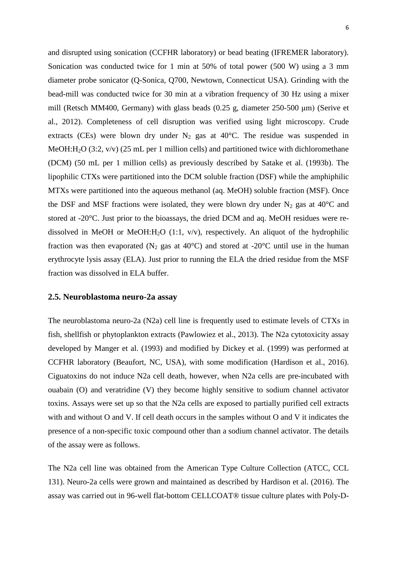and disrupted using sonication (CCFHR laboratory) or bead beating (IFREMER laboratory). Sonication was conducted twice for 1 min at 50% of total power (500 W) using a 3 mm diameter probe sonicator (Q-Sonica, Q700, Newtown, Connecticut USA). Grinding with the bead-mill was conducted twice for 30 min at a vibration frequency of 30 Hz using a mixer mill (Retsch MM400, Germany) with glass beads (0.25 g, diameter 250-500 μm) (Serive et al., 2012). Completeness of cell disruption was verified using light microscopy. Crude extracts (CEs) were blown dry under  $N_2$  gas at 40°C. The residue was suspended in MeOH:H<sub>2</sub>O (3:2,  $v/v$ ) (25 mL per 1 million cells) and partitioned twice with dichloromethane (DCM) (50 mL per 1 million cells) as previously described by Satake et al. (1993b). The lipophilic CTXs were partitioned into the DCM soluble fraction (DSF) while the amphiphilic MTXs were partitioned into the aqueous methanol (aq. MeOH) soluble fraction (MSF). Once the DSF and MSF fractions were isolated, they were blown dry under  $N_2$  gas at 40<sup>o</sup>C and stored at -20°C. Just prior to the bioassays, the dried DCM and aq. MeOH residues were redissolved in MeOH or MeOH: $H_2O$  (1:1, v/v), respectively. An aliquot of the hydrophilic fraction was then evaporated ( $N_2$  gas at 40°C) and stored at -20°C until use in the human erythrocyte lysis assay (ELA). Just prior to running the ELA the dried residue from the MSF fraction was dissolved in ELA buffer.

#### **2.5. Neuroblastoma neuro-2a assay**

The neuroblastoma neuro-2a (N2a) cell line is frequently used to estimate levels of CTXs in fish, shellfish or phytoplankton extracts (Pawlowiez et al., 2013). The N2a cytotoxicity assay developed by Manger et al. (1993) and modified by Dickey et al. (1999) was performed at CCFHR laboratory (Beaufort, NC, USA), with some modification (Hardison et al., 2016). Ciguatoxins do not induce N2a cell death, however, when N2a cells are pre-incubated with ouabain (O) and veratridine (V) they become highly sensitive to sodium channel activator toxins. Assays were set up so that the N2a cells are exposed to partially purified cell extracts with and without O and V. If cell death occurs in the samples without O and V it indicates the presence of a non-specific toxic compound other than a sodium channel activator. The details of the assay were as follows.

The N2a cell line was obtained from the American Type Culture Collection (ATCC, CCL 131). Neuro-2a cells were grown and maintained as described by Hardison et al. (2016). The assay was carried out in 96-well flat-bottom CELLCOAT® tissue culture plates with Poly-D-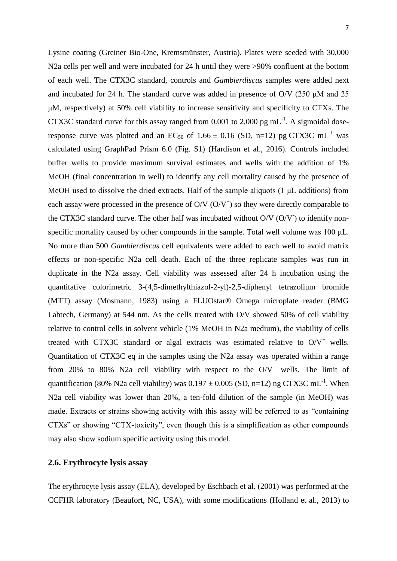Lysine coating (Greiner Bio-One, Kremsmünster, Austria). Plates were seeded with 30,000 N2a cells per well and were incubated for 24 h until they were >90% confluent at the bottom of each well. The CTX3C standard, controls and *Gambierdiscus* samples were added next and incubated for 24 h. The standard curve was added in presence of O/V (250 μM and 25 μM, respectively) at 50% cell viability to increase sensitivity and specificity to CTXs. The CTX3C standard curve for this assay ranged from 0.001 to 2,000 pg  $mL^{-1}$ . A sigmoidal doseresponse curve was plotted and an EC<sub>50</sub> of 1.66  $\pm$  0.16 (SD, n=12) pg CTX3C mL<sup>-1</sup> was calculated using GraphPad Prism 6.0 (Fig. S1) (Hardison et al., 2016). Controls included buffer wells to provide maximum survival estimates and wells with the addition of 1% MeOH (final concentration in well) to identify any cell mortality caused by the presence of MeOH used to dissolve the dried extracts. Half of the sample aliquots (1 μL additions) from each assay were processed in the presence of  $O/V$   $(O/V<sup>+</sup>)$  so they were directly comparable to the CTX3C standard curve. The other half was incubated without O/V (O/V) to identify nonspecific mortality caused by other compounds in the sample. Total well volume was 100 μL. No more than 500 *Gambierdiscus* cell equivalents were added to each well to avoid matrix effects or non-specific N2a cell death. Each of the three replicate samples was run in duplicate in the N2a assay. Cell viability was assessed after 24 h incubation using the quantitative colorimetric 3-(4,5-dimethylthiazol-2-yl)-2,5-diphenyl tetrazolium bromide (MTT) assay (Mosmann, 1983) using a FLUOstar® Omega microplate reader (BMG Labtech, Germany) at 544 nm. As the cells treated with O/V showed 50% of cell viability relative to control cells in solvent vehicle (1% MeOH in N2a medium), the viability of cells treated with CTX3C standard or algal extracts was estimated relative to  $O/V^+$  wells. Quantitation of CTX3C eq in the samples using the N2a assay was operated within a range from 20% to 80% N2a cell viability with respect to the  $O/V^+$  wells. The limit of quantification (80% N2a cell viability) was  $0.197 \pm 0.005$  (SD, n=12) ng CTX3C mL<sup>-1</sup>. When N2a cell viability was lower than 20%, a ten-fold dilution of the sample (in MeOH) was made. Extracts or strains showing activity with this assay will be referred to as "containing CTXs" or showing "CTX-toxicity", even though this is a simplification as other compounds may also show sodium specific activity using this model.

## **2.6. Erythrocyte lysis assay**

The erythrocyte lysis assay (ELA), developed by Eschbach et al. (2001) was performed at the CCFHR laboratory (Beaufort, NC, USA), with some modifications (Holland et al., 2013) to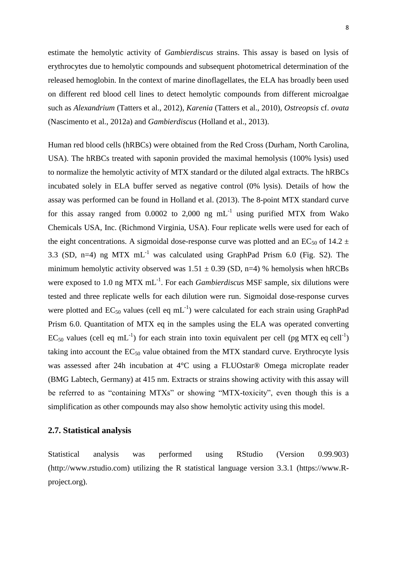estimate the hemolytic activity of *Gambierdiscus* strains. This assay is based on lysis of erythrocytes due to hemolytic compounds and subsequent photometrical determination of the released hemoglobin. In the context of marine dinoflagellates, the ELA has broadly been used on different red blood cell lines to detect hemolytic compounds from different microalgae such as *Alexandrium* (Tatters et al., 2012), *Karenia* (Tatters et al., 2010), *Ostreopsis* cf. *ovata*  (Nascimento et al., 2012a) and *Gambierdiscus* (Holland et al., 2013).

Human red blood cells (hRBCs) were obtained from the Red Cross (Durham, North Carolina, USA). The hRBCs treated with saponin provided the maximal hemolysis (100% lysis) used to normalize the hemolytic activity of MTX standard or the diluted algal extracts. The hRBCs incubated solely in ELA buffer served as negative control (0% lysis). Details of how the assay was performed can be found in Holland et al. (2013). The 8-point MTX standard curve for this assay ranged from 0.0002 to 2,000 ng  $mL^{-1}$  using purified MTX from Wako Chemicals USA, Inc. (Richmond Virginia, USA). Four replicate wells were used for each of the eight concentrations. A sigmoidal dose-response curve was plotted and an EC<sub>50</sub> of 14.2  $\pm$ 3.3 (SD, n=4) ng MTX mL<sup>-1</sup> was calculated using GraphPad Prism 6.0 (Fig. S2). The minimum hemolytic activity observed was  $1.51 \pm 0.39$  (SD, n=4) % hemolysis when hRCBs were exposed to 1.0 ng MTX mL<sup>-1</sup>. For each *Gambierdiscus* MSF sample, six dilutions were tested and three replicate wells for each dilution were run. Sigmoidal dose-response curves were plotted and  $EC_{50}$  values (cell eq mL<sup>-1</sup>) were calculated for each strain using GraphPad Prism 6.0. Quantitation of MTX eq in the samples using the ELA was operated converting EC<sub>50</sub> values (cell eq mL<sup>-1</sup>) for each strain into toxin equivalent per cell (pg MTX eq cell<sup>-1</sup>) taking into account the  $EC_{50}$  value obtained from the MTX standard curve. Erythrocyte lysis was assessed after 24h incubation at 4°C using a FLUOstar® Omega microplate reader (BMG Labtech, Germany) at 415 nm. Extracts or strains showing activity with this assay will be referred to as "containing MTXs" or showing "MTX-toxicity", even though this is a simplification as other compounds may also show hemolytic activity using this model.

#### **2.7. Statistical analysis**

Statistical analysis was performed using RStudio (Version 0.99.903) (http://www.rstudio.com) utilizing the R statistical language version 3.3.1 (https://www.Rproject.org).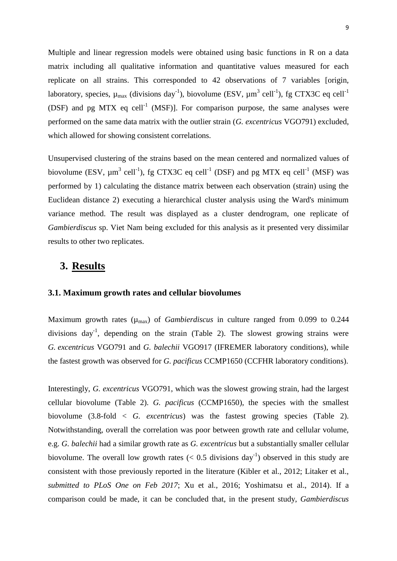Multiple and linear regression models were obtained using basic functions in R on a data matrix including all qualitative information and quantitative values measured for each replicate on all strains. This corresponded to 42 observations of 7 variables [origin, laboratory, species,  $\mu_{\text{max}}$  (divisions day<sup>-1</sup>), biovolume (ESV,  $\mu$ m<sup>3</sup> cell<sup>-1</sup>), fg CTX3C eq cell<sup>-1</sup> (DSF) and pg MTX eq cell<sup>-1</sup> (MSF)]. For comparison purpose, the same analyses were performed on the same data matrix with the outlier strain (*G. excentricus* VGO791) excluded, which allowed for showing consistent correlations.

Unsupervised clustering of the strains based on the mean centered and normalized values of biovolume (ESV,  $\mu$ m<sup>3</sup> cell<sup>-1</sup>), fg CTX3C eq cell<sup>-1</sup> (DSF) and pg MTX eq cell<sup>-1</sup> (MSF) was performed by 1) calculating the distance matrix between each observation (strain) using the Euclidean distance 2) executing a hierarchical cluster analysis using the Ward's minimum variance method. The result was displayed as a cluster dendrogram, one replicate of *Gambierdiscus* sp. Viet Nam being excluded for this analysis as it presented very dissimilar results to other two replicates.

## **3. Results**

### **3.1. Maximum growth rates and cellular biovolumes**

Maximum growth rates  $(\mu_{max})$  of *Gambierdiscus* in culture ranged from 0.099 to 0.244 divisions day<sup>-1</sup>, depending on the strain (Table 2). The slowest growing strains were *G. excentricus* VGO791 and *G. balechii* VGO917 (IFREMER laboratory conditions), while the fastest growth was observed for *G. pacificus* CCMP1650 (CCFHR laboratory conditions).

Interestingly, *G. excentricus* VGO791, which was the slowest growing strain, had the largest cellular biovolume (Table 2). *G. pacificus* (CCMP1650), the species with the smallest biovolume (3.8-fold < *G. excentricus*) was the fastest growing species (Table 2). Notwithstanding, overall the correlation was poor between growth rate and cellular volume, e.g. *G. balechii* had a similar growth rate as *G. excentricus* but a substantially smaller cellular biovolume. The overall low growth rates  $(< 0.5$  divisions day<sup>-1</sup>) observed in this study are consistent with those previously reported in the literature (Kibler et al., 2012; Litaker et al., *submitted to PLoS One on Feb 2017*; Xu et al., 2016; Yoshimatsu et al., 2014). If a comparison could be made, it can be concluded that, in the present study, *Gambierdiscus*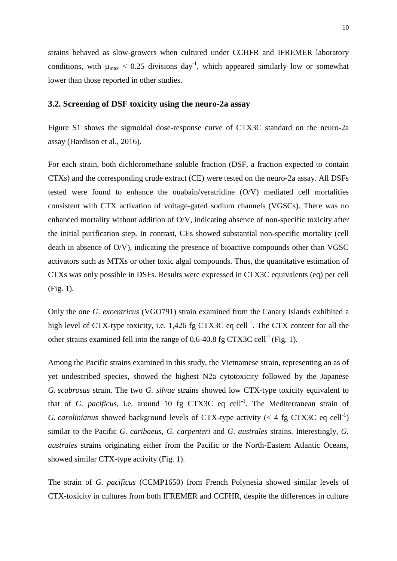strains behaved as slow-growers when cultured under CCHFR and IFREMER laboratory conditions, with  $\mu_{\text{max}} < 0.25$  divisions day<sup>-1</sup>, which appeared similarly low or somewhat lower than those reported in other studies.

#### **3.2. Screening of DSF toxicity using the neuro-2a assay**

Figure S1 shows the sigmoidal dose-response curve of CTX3C standard on the neuro-2a assay (Hardison et al., 2016).

For each strain, both dichloromethane soluble fraction (DSF, a fraction expected to contain CTXs) and the corresponding crude extract (CE) were tested on the neuro-2a assay. All DSFs tested were found to enhance the ouabain/veratridine (O/V) mediated cell mortalities consistent with CTX activation of voltage-gated sodium channels (VGSCs). There was no enhanced mortality without addition of O/V, indicating absence of non-specific toxicity after the initial purification step. In contrast, CEs showed substantial non-specific mortality (cell death in absence of O/V), indicating the presence of bioactive compounds other than VGSC activators such as MTXs or other toxic algal compounds. Thus, the quantitative estimation of CTXs was only possible in DSFs. Results were expressed in CTX3C equivalents (eq) per cell (Fig. 1).

Only the one *G. excentricus* (VGO791) strain examined from the Canary Islands exhibited a high level of CTX-type toxicity, i.e. 1,426 fg CTX3C eq cell<sup>-1</sup>. The CTX content for all the other strains examined fell into the range of 0.6-40.8 fg CTX3C cell<sup>-1</sup> (Fig. 1).

Among the Pacific strains examined in this study, the Vietnamese strain, representing an as of yet undescribed species, showed the highest N2a cytotoxicity followed by the Japanese *G. scabrosus* strain. The two *G. silvae* strains showed low CTX-type toxicity equivalent to that of *G. pacificus*, i.e. around 10 fg CTX3C eq cell<sup>-1</sup>. The Mediterranean strain of *G. carolinianus* showed background levels of CTX-type activity ( $\lt$  4 fg CTX3C eq cell<sup>-1</sup>) similar to the Pacific *G. caribaeus*, *G. carpenteri* and *G. australes* strains. Interestingly, *G. australes* strains originating either from the Pacific or the North-Eastern Atlantic Oceans, showed similar CTX-type activity (Fig. 1).

The strain of *G. pacificus* (CCMP1650) from French Polynesia showed similar levels of CTX-toxicity in cultures from both IFREMER and CCFHR, despite the differences in culture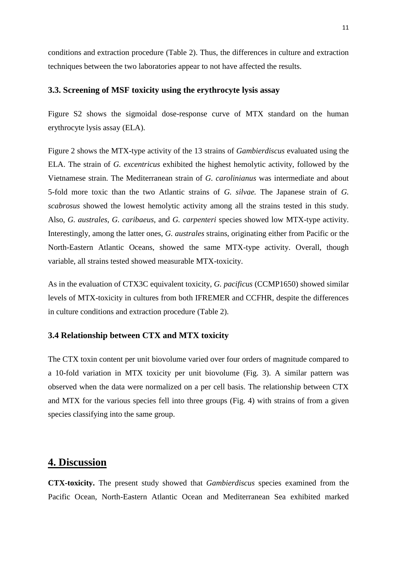conditions and extraction procedure (Table 2). Thus, the differences in culture and extraction techniques between the two laboratories appear to not have affected the results.

#### **3.3. Screening of MSF toxicity using the erythrocyte lysis assay**

Figure S2 shows the sigmoidal dose-response curve of MTX standard on the human erythrocyte lysis assay (ELA).

Figure 2 shows the MTX-type activity of the 13 strains of *Gambierdiscus* evaluated using the ELA. The strain of *G. excentricus* exhibited the highest hemolytic activity, followed by the Vietnamese strain. The Mediterranean strain of *G. carolinianus* was intermediate and about 5-fold more toxic than the two Atlantic strains of *G. silvae.* The Japanese strain of *G. scabrosus* showed the lowest hemolytic activity among all the strains tested in this study. Also, *G. australes*, *G. caribaeus*, and *G. carpenteri* species showed low MTX-type activity. Interestingly, among the latter ones, *G. australes* strains, originating either from Pacific or the North-Eastern Atlantic Oceans, showed the same MTX-type activity. Overall, though variable, all strains tested showed measurable MTX-toxicity.

As in the evaluation of CTX3C equivalent toxicity, *G. pacificus* (CCMP1650) showed similar levels of MTX-toxicity in cultures from both IFREMER and CCFHR, despite the differences in culture conditions and extraction procedure (Table 2).

### **3.4 Relationship between CTX and MTX toxicity**

The CTX toxin content per unit biovolume varied over four orders of magnitude compared to a 10-fold variation in MTX toxicity per unit biovolume (Fig. 3). A similar pattern was observed when the data were normalized on a per cell basis. The relationship between CTX and MTX for the various species fell into three groups (Fig. 4) with strains of from a given species classifying into the same group.

# **4. Discussion**

**CTX-toxicity.** The present study showed that *Gambierdiscus* species examined from the Pacific Ocean, North-Eastern Atlantic Ocean and Mediterranean Sea exhibited marked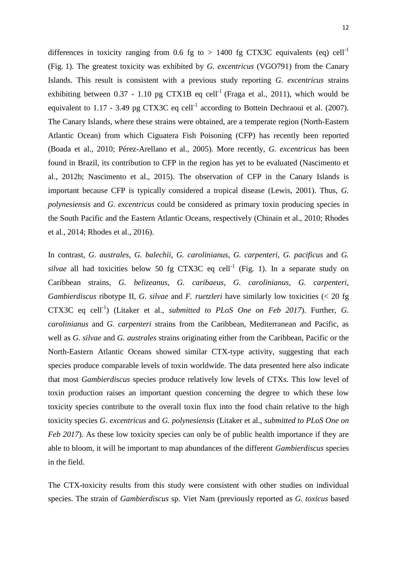differences in toxicity ranging from 0.6 fg to  $> 1400$  fg CTX3C equivalents (eq) cell<sup>-1</sup> (Fig. 1). The greatest toxicity was exhibited by *G. excentricus* (VGO791) from the Canary Islands. This result is consistent with a previous study reporting *G. excentricus* strains exhibiting between  $0.37 - 1.10$  pg CTX1B eq cell<sup>-1</sup> (Fraga et al., 2011), which would be equivalent to 1.17 - 3.49 pg CTX3C eq cell<sup>-1</sup> according to Bottein Dechraoui et al. (2007). The Canary Islands, where these strains were obtained, are a temperate region (North-Eastern Atlantic Ocean) from which Ciguatera Fish Poisoning (CFP) has recently been reported (Boada et al., 2010; Pérez-Arellano et al., 2005). More recently, *G. excentricus* has been found in Brazil, its contribution to CFP in the region has yet to be evaluated (Nascimento et al., 2012b; Nascimento et al., 2015). The observation of CFP in the Canary Islands is important because CFP is typically considered a tropical disease (Lewis, 2001). Thus, *G. polynesiensis* and *G. excentricus* could be considered as primary toxin producing species in the South Pacific and the Eastern Atlantic Oceans, respectively (Chinain et al., 2010; Rhodes et al., 2014; Rhodes et al., 2016).

In contrast, *G. australes*, *G. balechii*, *G. carolinianus*, *G. carpenteri*, *G. pacificus* and *G.*   $silvae$  all had toxicities below 50 fg CTX3C eq cell<sup>-1</sup> (Fig. 1). In a separate study on Caribbean strains, *G. belizeanus*, *G. caribaeus*, *G. carolinianus*, *G. carpenteri*, *Gambierdiscus* ribotype II, *G. silvae* and *F. ruetzleri* have similarly low toxicities (< 20 fg CTX3C eq cell-1 ) (Litaker et al., *submitted to PLoS One on Feb 2017*). Further, *G. carolinianus* and *G. carpenteri* strains from the Caribbean, Mediterranean and Pacific, as well as *G. silvae* and *G. australes* strains originating either from the Caribbean, Pacific or the North-Eastern Atlantic Oceans showed similar CTX-type activity, suggesting that each species produce comparable levels of toxin worldwide. The data presented here also indicate that most *Gambierdiscus* species produce relatively low levels of CTXs. This low level of toxin production raises an important question concerning the degree to which these low toxicity species contribute to the overall toxin flux into the food chain relative to the high toxicity species *G. excentricus* and *G. polynesiensis* (Litaker et al., *submitted to PLoS One on Feb 2017*). As these low toxicity species can only be of public health importance if they are able to bloom, it will be important to map abundances of the different *Gambierdiscus* species in the field.

The CTX-toxicity results from this study were consistent with other studies on individual species. The strain of *Gambierdiscus* sp. Viet Nam (previously reported as *G. toxicus* based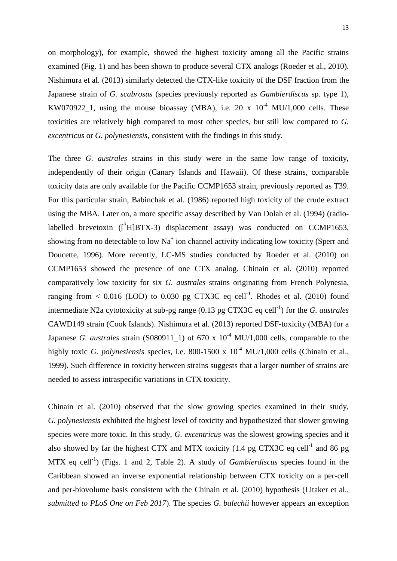on morphology), for example, showed the highest toxicity among all the Pacific strains examined (Fig. 1) and has been shown to produce several CTX analogs (Roeder et al., 2010). Nishimura et al. (2013) similarly detected the CTX-like toxicity of the DSF fraction from the Japanese strain of *G. scabrosus* (species previously reported as *Gambierdiscus* sp. type 1), KW070922 1, using the mouse bioassay (MBA), i.e. 20 x  $10^{-4}$  MU/1,000 cells. These toxicities are relatively high compared to most other species, but still low compared to *G. excentricus* or *G. polynesiensis,* consistent with the findings in this study.

The three *G. australes* strains in this study were in the same low range of toxicity, independently of their origin (Canary Islands and Hawaii). Of these strains, comparable toxicity data are only available for the Pacific CCMP1653 strain, previously reported as T39. For this particular strain, Babinchak et al. (1986) reported high toxicity of the crude extract using the MBA. Later on, a more specific assay described by Van Dolah et al. (1994) (radiolabelled brevetoxin  $(\hat{J}H|BTX-3)$  displacement assay) was conducted on CCMP1653, showing from no detectable to low  $Na<sup>+</sup>$  ion channel activity indicating low toxicity (Sperr and Doucette, 1996). More recently, LC-MS studies conducted by Roeder et al. (2010) on CCMP1653 showed the presence of one CTX analog. Chinain et al. (2010) reported comparatively low toxicity for six *G. australes* strains originating from French Polynesia, ranging from  $< 0.016$  (LOD) to 0.030 pg CTX3C eq cell<sup>-1</sup>. Rhodes et al. (2010) found intermediate N2a cytotoxicity at sub-pg range (0.13 pg CTX3C eq cell<sup>-1</sup>) for the *G. australes* CAWD149 strain (Cook Islands). Nishimura et al. (2013) reported DSF-toxicity (MBA) for a Japanese *G. australes* strain (S080911\_1) of 670 x 10<sup>-4</sup> MU/1,000 cells, comparable to the highly toxic *G. polynesiensis* species, i.e. 800-1500 x  $10^{-4}$  MU/1,000 cells (Chinain et al., 1999). Such difference in toxicity between strains suggests that a larger number of strains are needed to assess intraspecific variations in CTX toxicity.

Chinain et al. (2010) observed that the slow growing species examined in their study, *G. polynesiensis* exhibited the highest level of toxicity and hypothesized that slower growing species were more toxic. In this study, *G. excentricus* was the slowest growing species and it also showed by far the highest CTX and MTX toxicity (1.4 pg CTX3C eq cell<sup>-1</sup> and 86 pg MTX eq cell<sup>-1</sup>) (Figs. 1 and 2, Table 2). A study of *Gambierdiscus* species found in the Caribbean showed an inverse exponential relationship between CTX toxicity on a per-cell and per-biovolume basis consistent with the Chinain et al. (2010) hypothesis (Litaker et al., *submitted to PLoS One on Feb 2017*). The species *G. balechii* however appears an exception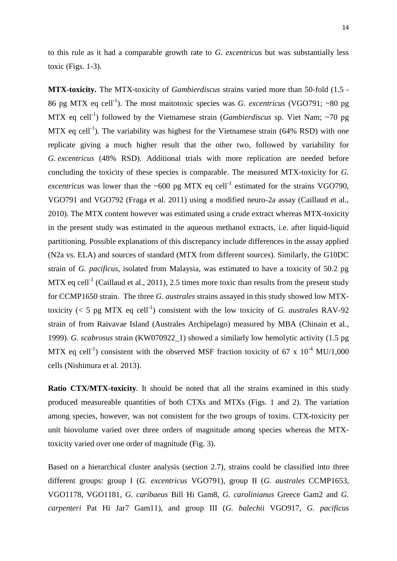to this rule as it had a comparable growth rate to *G. excentricus* but was substantially less toxic (Figs. 1-3).

**MTX-toxicity.** The MTX-toxicity of *Gambierdiscus* strains varied more than 50-fold (1.5 - 86 pg MTX eq cell<sup>-1</sup>). The most maitotoxic species was *G. excentricus* (VGO791; ~80 pg MTX eq cell<sup>-1</sup>) followed by the Vietnamese strain (*Gambierdiscus* sp. Viet Nam; ~70 pg MTX eq cell<sup>-1</sup>). The variability was highest for the Vietnamese strain (64% RSD) with one replicate giving a much higher result that the other two, followed by variability for *G. excentricus* (48% RSD). Additional trials with more replication are needed before concluding the toxicity of these species is comparable. The measured MTX-toxicity for *G. excentricus* was lower than the ~600 pg MTX eq cell<sup>-1</sup> estimated for the strains VGO790, VGO791 and VGO792 (Fraga et al. 2011) using a modified neuro-2a assay (Caillaud et al., 2010). The MTX content however was estimated using a crude extract whereas MTX-toxicity in the present study was estimated in the aqueous methanol extracts, i.e. after liquid-liquid partitioning. Possible explanations of this discrepancy include differences in the assay applied (N2a vs. ELA) and sources of standard (MTX from different sources). Similarly, the G10DC strain of *G. pacificus*, isolated from Malaysia, was estimated to have a toxicity of 50.2 pg MTX eq cell<sup>-1</sup> (Caillaud et al., 2011), 2.5 times more toxic than results from the present study for CCMP1650 strain. The three *G. australes* strains assayed in this study showed low MTXtoxicity ( $\lt$  5 pg MTX eq cell<sup>-1</sup>) consistent with the low toxicity of *G. australes* RAV-92 strain of from Raivavae Island (Australes Archipelago) measured by MBA (Chinain et al., 1999). *G. scabrosus* strain (KW070922\_1) showed a similarly low hemolytic activity (1.5 pg MTX eq cell<sup>-1</sup>) consistent with the observed MSF fraction toxicity of 67 x  $10^{-4}$  MU/1,000 cells (Nishimura et al. 2013).

**Ratio CTX/MTX-toxicity**. It should be noted that all the strains examined in this study produced measureable quantities of both CTXs and MTXs (Figs. 1 and 2). The variation among species, however, was not consistent for the two groups of toxins. CTX-toxicity per unit biovolume varied over three orders of magnitude among species whereas the MTXtoxicity varied over one order of magnitude (Fig. 3).

Based on a hierarchical cluster analysis (section 2.7), strains could be classified into three different groups: group I (*G. excentricus* VGO791), group II (*G. australes* CCMP1653, VGO1178, VGO1181, *G*. *caribaeus* Bill Hi Gam8, *G. carolinianus* Greece Gam2 and *G. carpenteri* Pat Hi Jar7 Gam11), and group III (*G. balechii* VGO917, *G. pacificus*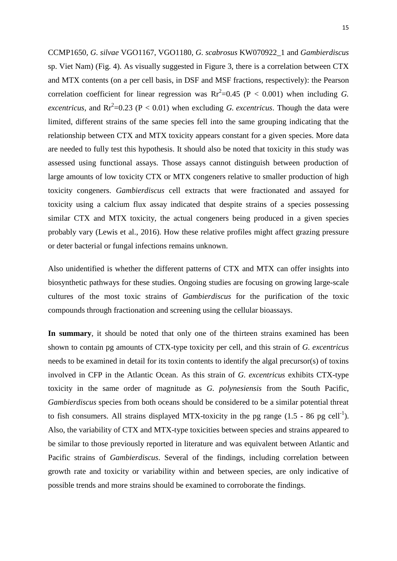CCMP1650*, G. silvae* VGO1167, VGO1180, *G. scabrosus* KW070922\_1 and *Gambierdiscus* sp. Viet Nam) (Fig. 4). As visually suggested in Figure 3, there is a correlation between CTX and MTX contents (on a per cell basis, in DSF and MSF fractions, respectively): the Pearson correlation coefficient for linear regression was  $\text{Rr}^2$ =0.45 (P < 0.001) when including *G*. *excentricus*, and  $\text{Rr}^2 = 0.23$  (P < 0.01) when excluding *G. excentricus*. Though the data were limited, different strains of the same species fell into the same grouping indicating that the relationship between CTX and MTX toxicity appears constant for a given species. More data are needed to fully test this hypothesis. It should also be noted that toxicity in this study was assessed using functional assays. Those assays cannot distinguish between production of large amounts of low toxicity CTX or MTX congeners relative to smaller production of high toxicity congeners. *Gambierdiscus* cell extracts that were fractionated and assayed for toxicity using a calcium flux assay indicated that despite strains of a species possessing similar CTX and MTX toxicity, the actual congeners being produced in a given species probably vary (Lewis et al., 2016). How these relative profiles might affect grazing pressure or deter bacterial or fungal infections remains unknown.

Also unidentified is whether the different patterns of CTX and MTX can offer insights into biosynthetic pathways for these studies. Ongoing studies are focusing on growing large-scale cultures of the most toxic strains of *Gambierdiscus* for the purification of the toxic compounds through fractionation and screening using the cellular bioassays.

**In summary**, it should be noted that only one of the thirteen strains examined has been shown to contain pg amounts of CTX-type toxicity per cell, and this strain of *G. excentricus* needs to be examined in detail for its toxin contents to identify the algal precursor(s) of toxins involved in CFP in the Atlantic Ocean. As this strain of *G. excentricus* exhibits CTX-type toxicity in the same order of magnitude as *G. polynesiensis* from the South Pacific, *Gambierdiscus* species from both oceans should be considered to be a similar potential threat to fish consumers. All strains displayed MTX-toxicity in the pg range  $(1.5 - 86$  pg cell<sup>-1</sup>). Also, the variability of CTX and MTX-type toxicities between species and strains appeared to be similar to those previously reported in literature and was equivalent between Atlantic and Pacific strains of *Gambierdiscus*. Several of the findings, including correlation between growth rate and toxicity or variability within and between species, are only indicative of possible trends and more strains should be examined to corroborate the findings.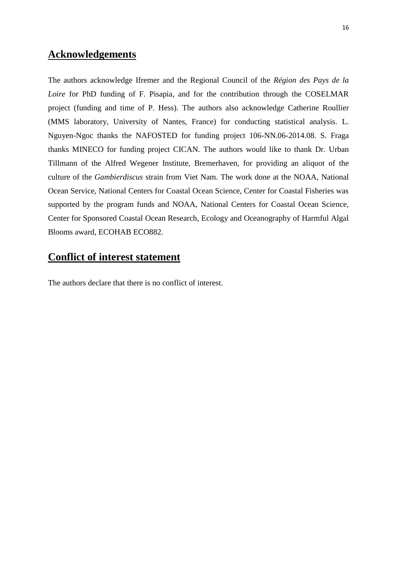# **Acknowledgements**

The authors acknowledge Ifremer and the Regional Council of the *Région des Pays de la Loire* for PhD funding of F. Pisapia, and for the contribution through the COSELMAR project (funding and time of P. Hess). The authors also acknowledge Catherine Roullier (MMS laboratory, University of Nantes, France) for conducting statistical analysis. L. Nguyen-Ngoc thanks the NAFOSTED for funding project 106-NN.06-2014.08. S. Fraga thanks MINECO for funding project CICAN. The authors would like to thank Dr. Urban Tillmann of the Alfred Wegener Institute, Bremerhaven, for providing an aliquot of the culture of the *Gambierdiscus* strain from Viet Nam. The work done at the NOAA, National Ocean Service, National Centers for Coastal Ocean Science, Center for Coastal Fisheries was supported by the program funds and NOAA, National Centers for Coastal Ocean Science, Center for Sponsored Coastal Ocean Research, Ecology and Oceanography of Harmful Algal Blooms award, ECOHAB ECO882.

# **Conflict of interest statement**

The authors declare that there is no conflict of interest.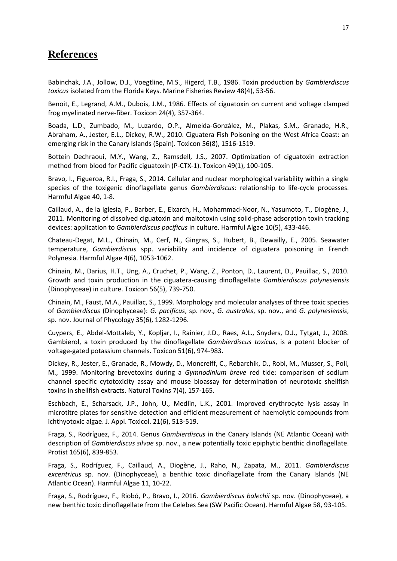## **References**

Babinchak, J.A., Jollow, D.J., Voegtline, M.S., Higerd, T.B., 1986. Toxin production by *Gambierdiscus toxicus* isolated from the Florida Keys. Marine Fisheries Review 48(4), 53-56.

Benoit, E., Legrand, A.M., Dubois, J.M., 1986. Effects of ciguatoxin on current and voltage clamped frog myelinated nerve-fiber. Toxicon 24(4), 357-364.

Boada, L.D., Zumbado, M., Luzardo, O.P., Almeida-González, M., Plakas, S.M., Granade, H.R., Abraham, A., Jester, E.L., Dickey, R.W., 2010. Ciguatera Fish Poisoning on the West Africa Coast: an emerging risk in the Canary Islands (Spain). Toxicon 56(8), 1516-1519.

Bottein Dechraoui, M.Y., Wang, Z., Ramsdell, J.S., 2007. Optimization of ciguatoxin extraction method from blood for Pacific ciguatoxin (P-CTX-1). Toxicon 49(1), 100-105.

Bravo, I., Figueroa, R.I., Fraga, S., 2014. Cellular and nuclear morphological variability within a single species of the toxigenic dinoflagellate genus *Gambierdiscus*: relationship to life-cycle processes. Harmful Algae 40, 1-8.

Caillaud, A., de la Iglesia, P., Barber, E., Eixarch, H., Mohammad-Noor, N., Yasumoto, T., Diogène, J., 2011. Monitoring of dissolved ciguatoxin and maitotoxin using solid-phase adsorption toxin tracking devices: application to *Gambierdiscus pacificus* in culture. Harmful Algae 10(5), 433-446.

Chateau-Degat, M.L., Chinain, M., Cerf, N., Gingras, S., Hubert, B., Dewailly, E., 2005. Seawater temperature, *Gambierdiscus* spp. variability and incidence of ciguatera poisoning in French Polynesia. Harmful Algae 4(6), 1053-1062.

Chinain, M., Darius, H.T., Ung, A., Cruchet, P., Wang, Z., Ponton, D., Laurent, D., Pauillac, S., 2010. Growth and toxin production in the ciguatera-causing dinoflagellate *Gambierdiscus polynesiensis* (Dinophyceae) in culture. Toxicon 56(5), 739-750.

Chinain, M., Faust, M.A., Pauillac, S., 1999. Morphology and molecular analyses of three toxic species of *Gambierdiscus* (Dinophyceae): *G. pacificus*, sp. nov., *G. australes*, sp. nov., and *G. polynesiensis*, sp. nov. Journal of Phycology 35(6), 1282-1296.

Cuypers, E., Abdel-Mottaleb, Y., Kopljar, I., Rainier, J.D., Raes, A.L., Snyders, D.J., Tytgat, J., 2008. Gambierol, a toxin produced by the dinoflagellate *Gambierdiscus toxicus*, is a potent blocker of voltage-gated potassium channels. Toxicon 51(6), 974-983.

Dickey, R., Jester, E., Granade, R., Mowdy, D., Moncreiff, C., Rebarchik, D., Robl, M., Musser, S., Poli, M., 1999. Monitoring brevetoxins during a *Gymnodinium breve* red tide: comparison of sodium channel specific cytotoxicity assay and mouse bioassay for determination of neurotoxic shellfish toxins in shellfish extracts. Natural Toxins 7(4), 157-165.

Eschbach, E., Scharsack, J.P., John, U., Medlin, L.K., 2001. Improved erythrocyte lysis assay in microtitre plates for sensitive detection and efficient measurement of haemolytic compounds from ichthyotoxic algae. J. Appl. Toxicol. 21(6), 513-519.

Fraga, S., Rodríguez, F., 2014. Genus *Gambierdiscus* in the Canary Islands (NE Atlantic Ocean) with description of *Gambierdiscus silvae* sp. nov., a new potentially toxic epiphytic benthic dinoflagellate. Protist 165(6), 839-853.

Fraga, S., Rodríguez, F., Caillaud, A., Diogène, J., Raho, N., Zapata, M., 2011. *Gambierdiscus excentricus* sp. nov. (Dinophyceae), a benthic toxic dinoflagellate from the Canary Islands (NE Atlantic Ocean). Harmful Algae 11, 10-22.

Fraga, S., Rodríguez, F., Riobó, P., Bravo, I., 2016. *Gambierdiscus balechii* sp. nov. (Dinophyceae), a new benthic toxic dinoflagellate from the Celebes Sea (SW Pacific Ocean). Harmful Algae 58, 93-105.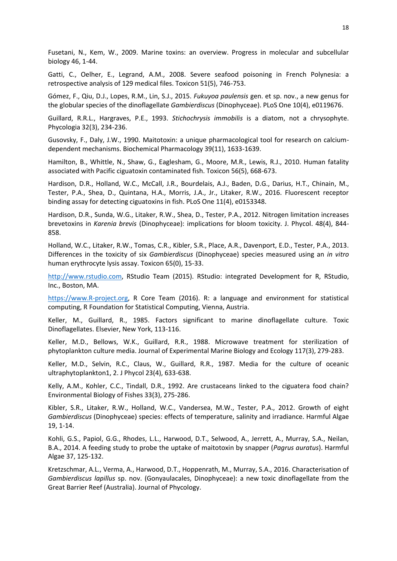Fusetani, N., Kem, W., 2009. Marine toxins: an overview. Progress in molecular and subcellular biology 46, 1-44.

Gatti, C., Oelher, E., Legrand, A.M., 2008. Severe seafood poisoning in French Polynesia: a retrospective analysis of 129 medical files. Toxicon 51(5), 746-753.

Gómez, F., Qiu, D.J., Lopes, R.M., Lin, S.J., 2015. *Fukuyoa paulensis* gen. et sp. nov., a new genus for the globular species of the dinoflagellate *Gambierdiscus* (Dinophyceae). PLoS One 10(4), e0119676.

Guillard, R.R.L., Hargraves, P.E., 1993. *Stichochrysis immobilis* is a diatom, not a chrysophyte. Phycologia 32(3), 234-236.

Gusovsky, F., Daly, J.W., 1990. Maitotoxin: a unique pharmacological tool for research on calciumdependent mechanisms. Biochemical Pharmacology 39(11), 1633-1639.

Hamilton, B., Whittle, N., Shaw, G., Eaglesham, G., Moore, M.R., Lewis, R.J., 2010. Human fatality associated with Pacific ciguatoxin contaminated fish. Toxicon 56(5), 668-673.

Hardison, D.R., Holland, W.C., McCall, J.R., Bourdelais, A.J., Baden, D.G., Darius, H.T., Chinain, M., Tester, P.A., Shea, D., Quintana, H.A., Morris, J.A., Jr., Litaker, R.W., 2016. Fluorescent receptor binding assay for detecting ciguatoxins in fish. PLoS One 11(4), e0153348.

Hardison, D.R., Sunda, W.G., Litaker, R.W., Shea, D., Tester, P.A., 2012. Nitrogen limitation increases brevetoxins in *Karenia brevis* (Dinophyceae): implications for bloom toxicity. J. Phycol. 48(4), 844- 858.

Holland, W.C., Litaker, R.W., Tomas, C.R., Kibler, S.R., Place, A.R., Davenport, E.D., Tester, P.A., 2013. Differences in the toxicity of six *Gambierdiscus* (Dinophyceae) species measured using an *in vitro* human erythrocyte lysis assay. Toxicon 65(0), 15-33.

[http://www.rstudio.com,](http://www.rstudio.com/) RStudio Team (2015). RStudio: integrated Development for R, RStudio, Inc., Boston, MA.

[https://www.R-project.org,](https://www.r-project.org/) R Core Team (2016). R: a language and environment for statistical computing, R Foundation for Statistical Computing, Vienna, Austria.

Keller, M., Guillard, R., 1985. Factors significant to marine dinoflagellate culture. Toxic Dinoflagellates. Elsevier, New York, 113-116.

Keller, M.D., Bellows, W.K., Guillard, R.R., 1988. Microwave treatment for sterilization of phytoplankton culture media. Journal of Experimental Marine Biology and Ecology 117(3), 279-283.

Keller, M.D., Selvin, R.C., Claus, W., Guillard, R.R., 1987. Media for the culture of oceanic ultraphytoplankton1, 2. J Phycol 23(4), 633-638.

Kelly, A.M., Kohler, C.C., Tindall, D.R., 1992. Are crustaceans linked to the ciguatera food chain? Environmental Biology of Fishes 33(3), 275-286.

Kibler, S.R., Litaker, R.W., Holland, W.C., Vandersea, M.W., Tester, P.A., 2012. Growth of eight *Gambierdiscus* (Dinophyceae) species: effects of temperature, salinity and irradiance. Harmful Algae 19, 1-14.

Kohli, G.S., Papiol, G.G., Rhodes, L.L., Harwood, D.T., Selwood, A., Jerrett, A., Murray, S.A., Neilan, B.A., 2014. A feeding study to probe the uptake of maitotoxin by snapper (*Pagrus auratus*). Harmful Algae 37, 125-132.

Kretzschmar, A.L., Verma, A., Harwood, D.T., Hoppenrath, M., Murray, S.A., 2016. Characterisation of *Gambierdiscus lapillus* sp. nov. (Gonyaulacales, Dinophyceae): a new toxic dinoflagellate from the Great Barrier Reef (Australia). Journal of Phycology.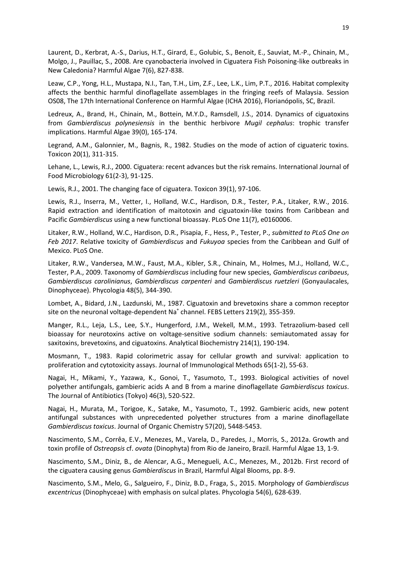Laurent, D., Kerbrat, A.-S., Darius, H.T., Girard, E., Golubic, S., Benoit, E., Sauviat, M.-P., Chinain, M., Molgo, J., Pauillac, S., 2008. Are cyanobacteria involved in Ciguatera Fish Poisoning-like outbreaks in New Caledonia? Harmful Algae 7(6), 827-838.

Leaw, C.P., Yong, H.L., Mustapa, N.I., Tan, T.H., Lim, Z.F., Lee, L.K., Lim, P.T., 2016. Habitat complexity affects the benthic harmful dinoflagellate assemblages in the fringing reefs of Malaysia. Session OS08, The 17th International Conference on Harmful Algae (ICHA 2016), Florianópolis, SC, Brazil.

Ledreux, A., Brand, H., Chinain, M., Bottein, M.Y.D., Ramsdell, J.S., 2014. Dynamics of ciguatoxins from *Gambierdiscus polynesiensis* in the benthic herbivore *Mugil cephalus*: trophic transfer implications. Harmful Algae 39(0), 165-174.

Legrand, A.M., Galonnier, M., Bagnis, R., 1982. Studies on the mode of action of ciguateric toxins. Toxicon 20(1), 311-315.

Lehane, L., Lewis, R.J., 2000. Ciguatera: recent advances but the risk remains. International Journal of Food Microbiology 61(2-3), 91-125.

Lewis, R.J., 2001. The changing face of ciguatera. Toxicon 39(1), 97-106.

Lewis, R.J., Inserra, M., Vetter, I., Holland, W.C., Hardison, D.R., Tester, P.A., Litaker, R.W., 2016. Rapid extraction and identification of maitotoxin and ciguatoxin-like toxins from Caribbean and Pacific *Gambierdiscus* using a new functional bioassay. PLoS One 11(7), e0160006.

Litaker, R.W., Holland, W.C., Hardison, D.R., Pisapia, F., Hess, P., Tester, P., *submitted to PLoS One on Feb 2017*. Relative toxicity of *Gambierdiscus* and *Fukuyoa* species from the Caribbean and Gulf of Mexico. PLoS One.

Litaker, R.W., Vandersea, M.W., Faust, M.A., Kibler, S.R., Chinain, M., Holmes, M.J., Holland, W.C., Tester, P.A., 2009. Taxonomy of *Gambierdiscus* including four new species, *Gambierdiscus caribaeus*, *Gambierdiscus carolinianus*, *Gambierdiscus carpenteri* and *Gambierdiscus ruetzleri* (Gonyaulacales, Dinophyceae). Phycologia 48(5), 344-390.

Lombet, A., Bidard, J.N., Lazdunski, M., 1987. Ciguatoxin and brevetoxins share a common receptor site on the neuronal voltage-dependent Na<sup>+</sup> channel. FEBS Letters 219(2), 355-359.

Manger, R.L., Leja, L.S., Lee, S.Y., Hungerford, J.M., Wekell, M.M., 1993. Tetrazolium-based cell bioassay for neurotoxins active on voltage-sensitive sodium channels: semiautomated assay for saxitoxins, brevetoxins, and ciguatoxins. Analytical Biochemistry 214(1), 190-194.

Mosmann, T., 1983. Rapid colorimetric assay for cellular growth and survival: application to proliferation and cytotoxicity assays. Journal of Immunological Methods 65(1-2), 55-63.

Nagai, H., Mikami, Y., Yazawa, K., Gonoi, T., Yasumoto, T., 1993. Biological activities of novel polyether antifungals, gambieric acids A and B from a marine dinoflagellate *Gambierdiscus toxicus*. The Journal of Antibiotics (Tokyo) 46(3), 520-522.

Nagai, H., Murata, M., Torigoe, K., Satake, M., Yasumoto, T., 1992. Gambieric acids, new potent antifungal substances with unprecedented polyether structures from a marine dinoflagellate *Gambierdiscus toxicus*. Journal of Organic Chemistry 57(20), 5448-5453.

Nascimento, S.M., Corrêa, E.V., Menezes, M., Varela, D., Paredes, J., Morris, S., 2012a. Growth and toxin profile of *Ostreopsis* cf. *ovata* (Dinophyta) from Rio de Janeiro, Brazil. Harmful Algae 13, 1-9.

Nascimento, S.M., Diniz, B., de Alencar, A.G., Menegueli, A.C., Menezes, M., 2012b. First record of the ciguatera causing genus *Gambierdiscus* in Brazil, Harmful Algal Blooms, pp. 8-9.

Nascimento, S.M., Melo, G., Salgueiro, F., Diniz, B.D., Fraga, S., 2015. Morphology of *Gambierdiscus excentricus* (Dinophyceae) with emphasis on sulcal plates. Phycologia 54(6), 628-639.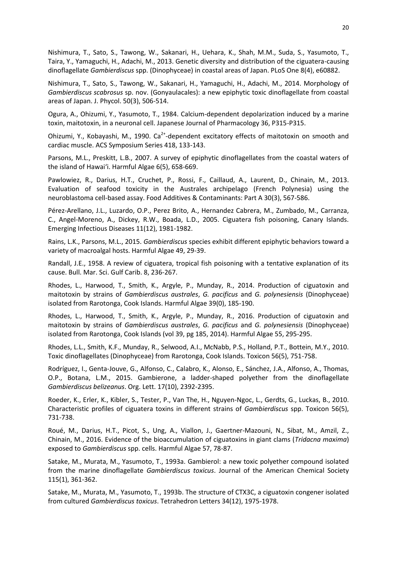Nishimura, T., Sato, S., Tawong, W., Sakanari, H., Uehara, K., Shah, M.M., Suda, S., Yasumoto, T., Taira, Y., Yamaguchi, H., Adachi, M., 2013. Genetic diversity and distribution of the ciguatera-causing dinoflagellate *Gambierdiscus* spp. (Dinophyceae) in coastal areas of Japan. PLoS One 8(4), e60882.

Nishimura, T., Sato, S., Tawong, W., Sakanari, H., Yamaguchi, H., Adachi, M., 2014. Morphology of *Gambierdiscus scabrosus* sp. nov. (Gonyaulacales): a new epiphytic toxic dinoflagellate from coastal areas of Japan. J. Phycol. 50(3), 506-514.

Ogura, A., Ohizumi, Y., Yasumoto, T., 1984. Calcium-dependent depolarization induced by a marine toxin, maitotoxin, in a neuronal cell. Japanese Journal of Pharmacology 36, P315-P315.

Ohizumi, Y., Kobayashi, M., 1990. Ca<sup>2+</sup>-dependent excitatory effects of maitotoxin on smooth and cardiac muscle. ACS Symposium Series 418, 133-143.

Parsons, M.L., Preskitt, L.B., 2007. A survey of epiphytic dinoflagellates from the coastal waters of the island of Hawai'i. Harmful Algae 6(5), 658-669.

Pawlowiez, R., Darius, H.T., Cruchet, P., Rossi, F., Caillaud, A., Laurent, D., Chinain, M., 2013. Evaluation of seafood toxicity in the Australes archipelago (French Polynesia) using the neuroblastoma cell-based assay. Food Additives & Contaminants: Part A 30(3), 567-586.

Pérez-Arellano, J.L., Luzardo, O.P., Perez Brito, A., Hernandez Cabrera, M., Zumbado, M., Carranza, C., Angel-Moreno, A., Dickey, R.W., Boada, L.D., 2005. Ciguatera fish poisoning, Canary Islands. Emerging Infectious Diseases 11(12), 1981-1982.

Rains, L.K., Parsons, M.L., 2015. *Gambierdiscus* species exhibit different epiphytic behaviors toward a variety of macroalgal hosts. Harmful Algae 49, 29-39.

Randall, J.E., 1958. A review of ciguatera, tropical fish poisoning with a tentative explanation of its cause. Bull. Mar. Sci. Gulf Carib. 8, 236-267.

Rhodes, L., Harwood, T., Smith, K., Argyle, P., Munday, R., 2014. Production of ciguatoxin and maitotoxin by strains of *Gambierdiscus australes*, *G. pacificus* and *G. polynesiensis* (Dinophyceae) isolated from Rarotonga, Cook Islands. Harmful Algae 39(0), 185-190.

Rhodes, L., Harwood, T., Smith, K., Argyle, P., Munday, R., 2016. Production of ciguatoxin and maitotoxin by strains of *Gambierdiscus australes*, *G. pacificus* and *G. polynesiensis* (Dinophyceae) isolated from Rarotonga, Cook Islands (vol 39, pg 185, 2014). Harmful Algae 55, 295-295.

Rhodes, L.L., Smith, K.F., Munday, R., Selwood, A.I., McNabb, P.S., Holland, P.T., Bottein, M.Y., 2010. Toxic dinoflagellates (Dinophyceae) from Rarotonga, Cook Islands. Toxicon 56(5), 751-758.

Rodríguez, I., Genta-Jouve, G., Alfonso, C., Calabro, K., Alonso, E., Sánchez, J.A., Alfonso, A., Thomas, O.P., Botana, L.M., 2015. Gambierone, a ladder-shaped polyether from the dinoflagellate *Gambierdiscus belizeanus*. Org. Lett. 17(10), 2392-2395.

Roeder, K., Erler, K., Kibler, S., Tester, P., Van The, H., Nguyen-Ngoc, L., Gerdts, G., Luckas, B., 2010. Characteristic profiles of ciguatera toxins in different strains of *Gambierdiscus* spp. Toxicon 56(5), 731-738.

Roué, M., Darius, H.T., Picot, S., Ung, A., Viallon, J., Gaertner-Mazouni, N., Sibat, M., Amzil, Z., Chinain, M., 2016. Evidence of the bioaccumulation of ciguatoxins in giant clams (*Tridacna maxima*) exposed to *Gambierdiscus* spp. cells. Harmful Algae 57, 78-87.

Satake, M., Murata, M., Yasumoto, T., 1993a. Gambierol: a new toxic polyether compound isolated from the marine dinoflagellate *Gambierdiscus toxicus*. Journal of the American Chemical Society 115(1), 361-362.

Satake, M., Murata, M., Yasumoto, T., 1993b. The structure of CTX3C, a ciguatoxin congener isolated from cultured *Gambierdiscus toxicus*. Tetrahedron Letters 34(12), 1975-1978.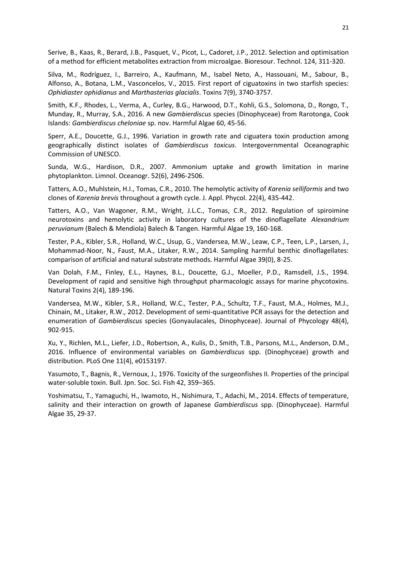Serive, B., Kaas, R., Berard, J.B., Pasquet, V., Picot, L., Cadoret, J.P., 2012. Selection and optimisation of a method for efficient metabolites extraction from microalgae. Bioresour. Technol. 124, 311-320.

Silva, M., Rodríguez, I., Barreiro, A., Kaufmann, M., Isabel Neto, A., Hassouani, M., Sabour, B., Alfonso, A., Botana, L.M., Vasconcelos, V., 2015. First report of ciguatoxins in two starfish species: *Ophidiaster ophidianus* and *Marthasterias glacialis*. Toxins 7(9), 3740-3757.

Smith, K.F., Rhodes, L., Verma, A., Curley, B.G., Harwood, D.T., Kohli, G.S., Solomona, D., Rongo, T., Munday, R., Murray, S.A., 2016. A new *Gambierdiscus* species (Dinophyceae) from Rarotonga, Cook Islands: *Gambierdiscus cheloniae* sp. nov. Harmful Algae 60, 45-56.

Sperr, A.E., Doucette, G.J., 1996. Variation in growth rate and ciguatera toxin production among geographically distinct isolates of *Gambierdiscus toxicus*. Intergovernmental Oceanographic Commission of UNESCO.

Sunda, W.G., Hardison, D.R., 2007. Ammonium uptake and growth limitation in marine phytoplankton. Limnol. Oceanogr. 52(6), 2496-2506.

Tatters, A.O., Muhlstein, H.I., Tomas, C.R., 2010. The hemolytic activity of *Karenia selliformis* and two clones of *Karenia brevis* throughout a growth cycle. J. Appl. Phycol. 22(4), 435-442.

Tatters, A.O., Van Wagoner, R.M., Wright, J.L.C., Tomas, C.R., 2012. Regulation of spiroimine neurotoxins and hemolytic activity in laboratory cultures of the dinoflagellate *Alexandrium peruvianum* (Balech & Mendiola) Balech & Tangen. Harmful Algae 19, 160-168.

Tester, P.A., Kibler, S.R., Holland, W.C., Usup, G., Vandersea, M.W., Leaw, C.P., Teen, L.P., Larsen, J., Mohammad-Noor, N., Faust, M.A., Litaker, R.W., 2014. Sampling harmful benthic dinoflagellates: comparison of artificial and natural substrate methods. Harmful Algae 39(0), 8-25.

Van Dolah, F.M., Finley, E.L., Haynes, B.L., Doucette, G.J., Moeller, P.D., Ramsdell, J.S., 1994. Development of rapid and sensitive high throughput pharmacologic assays for marine phycotoxins. Natural Toxins 2(4), 189-196.

Vandersea, M.W., Kibler, S.R., Holland, W.C., Tester, P.A., Schultz, T.F., Faust, M.A., Holmes, M.J., Chinain, M., Litaker, R.W., 2012. Development of semi-quantitative PCR assays for the detection and enumeration of *Gambierdiscus* species (Gonyaulacales, Dinophyceae). Journal of Phycology 48(4), 902-915.

Xu, Y., Richlen, M.L., Liefer, J.D., Robertson, A., Kulis, D., Smith, T.B., Parsons, M.L., Anderson, D.M., 2016. Influence of environmental variables on *Gambierdiscus* spp. (Dinophyceae) growth and distribution. PLoS One 11(4), e0153197.

Yasumoto, T., Bagnis, R., Vernoux, J., 1976. Toxicity of the surgeonfishes II. Properties of the principal water-soluble toxin. Bull. Jpn. Soc. Sci. Fish 42, 359–365.

Yoshimatsu, T., Yamaguchi, H., Iwamoto, H., Nishimura, T., Adachi, M., 2014. Effects of temperature, salinity and their interaction on growth of Japanese *Gambierdiscus* spp. (Dinophyceae). Harmful Algae 35, 29-37.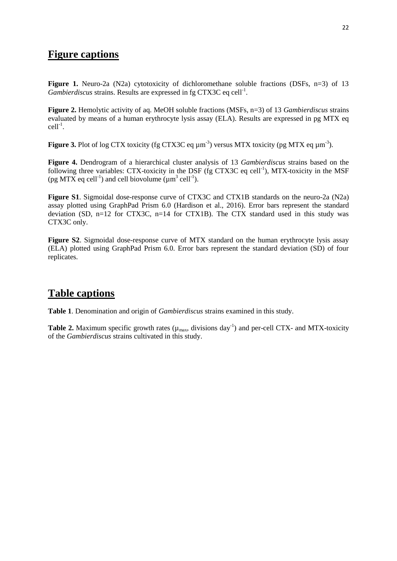# **Figure captions**

Figure 1. Neuro-2a (N2a) cytotoxicity of dichloromethane soluble fractions (DSFs, n=3) of 13 Gambierdiscus strains. Results are expressed in fg CTX3C eq cell<sup>-1</sup>.

**Figure 2.** Hemolytic activity of aq. MeOH soluble fractions (MSFs, n=3) of 13 *Gambierdiscus* strains evaluated by means of a human erythrocyte lysis assay (ELA). Results are expressed in pg MTX eq  $cell^{-1}$ .

**Figure 3.** Plot of log CTX toxicity (fg CTX3C eq  $\mu$ m<sup>-3</sup>) versus MTX toxicity (pg MTX eq  $\mu$ m<sup>-3</sup>).

**Figure 4.** Dendrogram of a hierarchical cluster analysis of 13 *Gambierdiscus* strains based on the following three variables: CTX-toxicity in the DSF (fg CTX3C eq cell<sup>-1</sup>), MTX-toxicity in the MSF (pg MTX eq cell<sup>-1</sup>) and cell biovolume ( $\mu$ m<sup>3</sup> cell<sup>-1</sup>).

**Figure S1**. Sigmoidal dose-response curve of CTX3C and CTX1B standards on the neuro-2a (N2a) assay plotted using GraphPad Prism 6.0 (Hardison et al., 2016). Error bars represent the standard deviation (SD,  $n=12$  for CTX3C,  $n=14$  for CTX1B). The CTX standard used in this study was CTX3C only.

**Figure S2**. Sigmoidal dose-response curve of MTX standard on the human erythrocyte lysis assay (ELA) plotted using GraphPad Prism 6.0. Error bars represent the standard deviation (SD) of four replicates.

# **Table captions**

**Table 1**. Denomination and origin of *Gambierdiscus* strains examined in this study.

**Table 2.** Maximum specific growth rates ( $\mu_{\text{max}}$ , divisions day<sup>-1</sup>) and per-cell CTX- and MTX-toxicity of the *Gambierdiscus* strains cultivated in this study.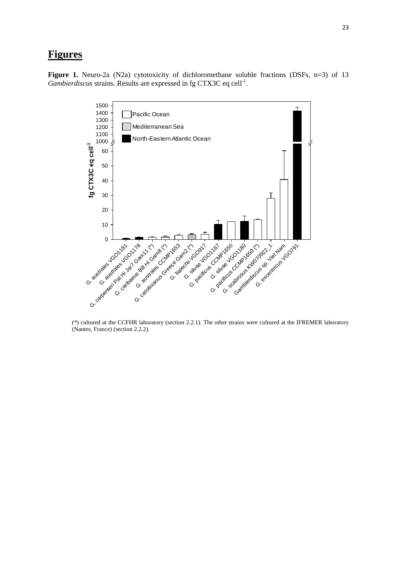# **Figures**

Figure 1. Neuro-2a (N2a) cytotoxicity of dichloromethane soluble fractions (DSFs, n=3) of 13 Gambierdiscus strains. Results are expressed in fg CTX3C eq cell<sup>-1</sup>.



(\*) cultured at the CCFHR laboratory (section 2.2.1). The other strains were cultured at the IFREMER laboratory (Nantes, France) (section 2.2.2).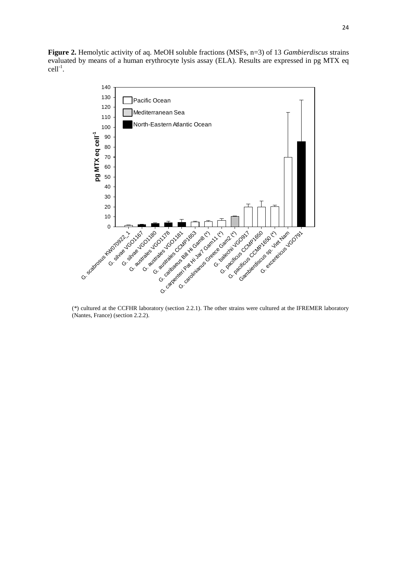**Figure 2.** Hemolytic activity of aq. MeOH soluble fractions (MSFs, n=3) of 13 *Gambierdiscus* strains evaluated by means of a human erythrocyte lysis assay (ELA). Results are expressed in pg MTX eq  $cell^{-1}$ .



(\*) cultured at the CCFHR laboratory (section 2.2.1). The other strains were cultured at the IFREMER laboratory (Nantes, France) (section 2.2.2).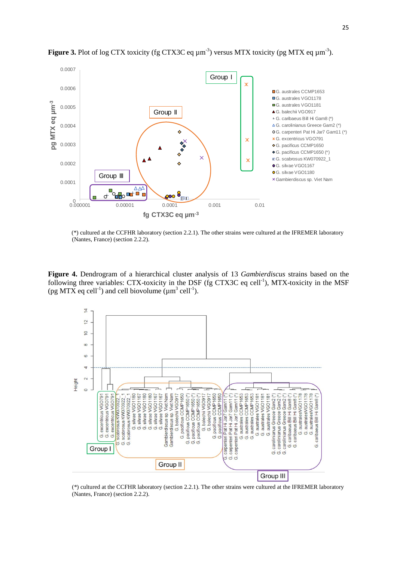

**Figure 3.** Plot of log CTX toxicity (fg CTX3C eq  $\mu$ m<sup>-3</sup>) versus MTX toxicity (pg MTX eq  $\mu$ m<sup>-3</sup>).

(\*) cultured at the CCFHR laboratory (section 2.2.1). The other strains were cultured at the IFREMER laboratory (Nantes, France) (section 2.2.2).

**Figure 4.** Dendrogram of a hierarchical cluster analysis of 13 *Gambierdiscus* strains based on the following three variables: CTX-toxicity in the DSF (fg CTX3C eq cell<sup>-1</sup>), MTX-toxicity in the MSF (pg MTX eq cell<sup>-1</sup>) and cell biovolume ( $\mu$ m<sup>3</sup> cell<sup>-1</sup>).



(\*) cultured at the CCFHR laboratory (section 2.2.1). The other strains were cultured at the IFREMER laboratory (Nantes, France) (section 2.2.2).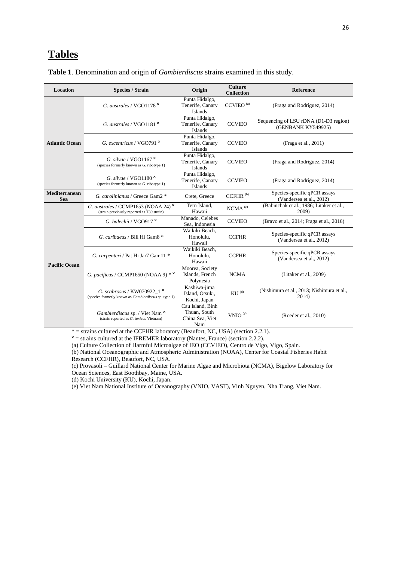# **Tables**

| Location                    | <b>Species / Strain</b>                                                                          | Origin                                                     | <b>Culture</b><br><b>Collection</b> | Reference                                                   |  |
|-----------------------------|--------------------------------------------------------------------------------------------------|------------------------------------------------------------|-------------------------------------|-------------------------------------------------------------|--|
|                             | G. australes / VGO1178 ×                                                                         | Punta Hidalgo,<br>Tenerife, Canary<br>Islands              | CCVIEO <sup>(a)</sup>               | (Fraga and Rodríguez, 2014)                                 |  |
| <b>Atlantic Ocean</b>       | G. australes / VGO1181 $\times$                                                                  | Punta Hidalgo,<br>Tenerife, Canary<br>Islands              | <b>CCVIEO</b>                       | Sequencing of LSU rDNA (D1-D3 region)<br>(GENBANK KY549925) |  |
|                             | G. excentricus / $VGO791$ <sup><math>\times</math></sup>                                         | Punta Hidalgo,<br>Tenerife, Canary<br>Islands              | <b>CCVIEO</b>                       | (Fraga et al., 2011)                                        |  |
|                             | G. silvae / VGO1167 $^{\times}$<br>(species formerly known as G. ribotype 1)                     | Punta Hidalgo,<br>Tenerife, Canary<br>Islands              | <b>CCVIEO</b>                       | (Fraga and Rodríguez, 2014)                                 |  |
|                             | G. silvae / VGO1180 $^{\times}$<br>(species formerly known as G. ribotype 1)                     | Punta Hidalgo,<br>Tenerife, Canary<br>Islands              | <b>CCVIEO</b>                       | (Fraga and Rodríguez, 2014)                                 |  |
| <b>Mediterranean</b><br>Sea | G. carolinianus / Greece Gam2 *                                                                  | Crete, Greece                                              | CCFHR <sup>(b)</sup>                | Species-specific qPCR assays<br>(Vandersea et al., 2012)    |  |
| <b>Pacific Ocean</b>        | G. australes / CCMP1653 (NOAA 24) ×<br>(strain previously reported as T39 strain)                | Tern Island,<br>Hawaii                                     | $NCMA$ <sup>(c)</sup>               | (Babinchak et al., 1986; Litaker et al.,<br>2009)           |  |
|                             | G. balechii / $VGO917*$                                                                          | Manado, Celebes<br>Sea, Indonesia                          | <b>CCVIEO</b>                       | (Bravo et al., 2014; Fraga et al., 2016)                    |  |
|                             | G. caribaeus / Bill Hi Gam8 *                                                                    | Waikiki Beach,<br>Honolulu,<br>Hawaii                      | <b>CCFHR</b>                        | Species-specific qPCR assays<br>(Vandersea et al., 2012)    |  |
|                             | G. carpenteri / Pat Hi Jar7 Gam11 *                                                              | Waikiki Beach,<br>Honolulu,<br>Hawaii                      | <b>CCFHR</b>                        | Species-specific qPCR assays<br>(Vandersea et al., 2012)    |  |
|                             | G. pacificus / CCMP1650 (NOAA 9) $*$ $*$                                                         | Moorea, Society<br>Islands, French<br>Polynesia            | <b>NCMA</b>                         | (Litaker et al., 2009)                                      |  |
|                             | G. scabrosus / KW070922 $1$ <sup>x</sup><br>(species formerly known as Gambierdiscus sp. type 1) | Kashiwa-jima<br>Island, Otsuki,<br>Kochi, Japan            | $KU^{(d)}$                          | (Nishimura et al., 2013; Nishimura et al.,<br>2014)         |  |
|                             | Gambierdiscus sp. / Viet Nam ×<br>(strain reported as G. toxicus Vietnam)                        | Cau Island, Binh<br>Thuan, South<br>China Sea, Viet<br>Nam | VNIO <sup>(e)</sup>                 | (Roeder et al., 2010)                                       |  |

**Table 1**. Denomination and origin of *Gambierdiscus* strains examined in this study.

 $*$  = strains cultured at the CCFHR laboratory (Beaufort, NC, USA) (section 2.2.1).

 $x =$  strains cultured at the IFREMER laboratory (Nantes, France) (section 2.2.2).

(a) Culture Collection of Harmful Microalgae of IEO (CCVIEO), Centro de Vigo, Vigo, Spain.

(b) National Oceanographic and Atmospheric Administration (NOAA), Center for Coastal Fisheries Habit Research (CCFHR), Beaufort, NC, USA.

(c) Provasoli – Guillard National Center for Marine Algae and Microbiota (NCMA), Bigelow Laboratory for Ocean Sciences, East Boothbay, Maine, USA.

(d) Kochi University (KU), Kochi, Japan.

(e) Viet Nam National Institute of Oceanography (VNIO, VAST), Vinh Nguyen, Nha Trang, Viet Nam.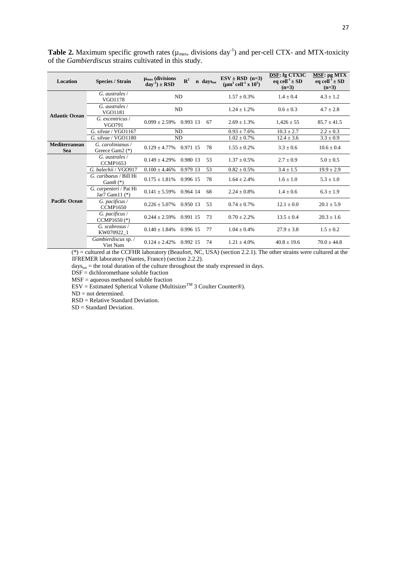| Location                           | <b>Species / Strain</b>                       | $\mu_{\text{max}}$ (divisions<br>$day^{-1}$ + RSD | $\mathbf{R}^2$ |  | n daystot        | $ESV \pm RSD$ (n=3)<br>$(\mu m^3$ cell <sup>-1</sup> x 10 <sup>5</sup> ) | DSF: fg CTX3C<br>eq cell <sup>-1</sup> $\pm$ SD<br>$(n=3)$ | $MSE:$ pg MTX<br>eq cell <sup>-1</sup> $\pm$ SD<br>$(n=3)$ |
|------------------------------------|-----------------------------------------------|---------------------------------------------------|----------------|--|------------------|--------------------------------------------------------------------------|------------------------------------------------------------|------------------------------------------------------------|
| <b>Atlantic Ocean</b>              | $G.$ australes /<br>VGO1178                   | N <sub>D</sub>                                    |                |  |                  | $1.57 \pm 0.3\%$                                                         | $1.4 \pm 0.4$                                              | $4.3 \pm 1.2$                                              |
|                                    | $G.$ australes /<br>VGO1181                   | N <sub>D</sub>                                    |                |  |                  | $1.24 \pm 1.2\%$                                                         | $0.6 \pm 0.3$                                              | $4.7 \pm 2.8$                                              |
|                                    | G. excentricus /<br>VGO791                    | $0.099 \pm 2.59\%$                                | 0.993 13       |  | 67               | $2.69 \pm 1.3\%$                                                         | $1,426 \pm 55$                                             | $85.7 \pm 41.5$                                            |
|                                    | G. silvae / $VGO1167$                         | ND                                                |                |  |                  | $0.93 \pm 7.6\%$                                                         | $10.3 \pm 2.7$                                             | $2.2 \pm 0.3$                                              |
|                                    | G. silvae / VGO1180                           | N <sub>D</sub>                                    |                |  | $1.02 \pm 0.7\%$ | $12.4 \pm 3.6$                                                           | $3.3 \pm 0.9$                                              |                                                            |
| <b>Mediterranean</b><br><b>Sea</b> | G. carolinianus /<br>Greece Gam2 $(*)$        | $0.129 \pm 4.77\%$                                | 0.971 15       |  | 78               | $1.55 \pm 0.2\%$                                                         | $3.3 \pm 0.6$                                              | $10.6 \pm 0.4$                                             |
| <b>Pacific Ocean</b>               | G. australes /<br><b>CCMP1653</b>             | $0.149 \pm 4.29\%$                                | 0.980 13       |  | 53               | $1.37 \pm 0.5\%$                                                         | $2.7 \pm 0.9$                                              | $5.0 \pm 0.5$                                              |
|                                    | G. balechii / VGO917                          | $0.100 \pm 4.46\%$                                | 0.979 13       |  | 53               | $0.82 \pm 0.5\%$                                                         | $3.4 \pm 1.5$                                              | $19.9 \pm 2.9$                                             |
|                                    | G. caribaeus / Bill Hi<br>Gam $8$ (*)         | $0.175 \pm 1.81\%$                                | 0.996 15       |  | 78               | $1.64 \pm 2.4\%$                                                         | $1.6 \pm 1.0$                                              | $5.3 \pm 1.0$                                              |
|                                    | G. carpenteri / Pat Hi<br>Jar7 Gam $11$ $(*)$ | $0.141 \pm 5.59\%$                                | 0.964 14       |  | 68               | $2.24 \pm 0.8\%$                                                         | $1.4 \pm 0.6$                                              | $6.3 \pm 1.9$                                              |
|                                    | G. pacificus /<br><b>CCMP1650</b>             | $0.226 \pm 5.07\%$                                | 0.950 13       |  | 53               | $0.74 \pm 0.7\%$                                                         | $12.1 \pm 0.0$                                             | $20.1 \pm 5.9$                                             |
|                                    | G. pacificus /<br>CCMP1650 $(*)$              | $0.244 \pm 2.59\%$                                | 0.991 15       |  | 73               | $0.70 \pm 2.2\%$                                                         | $13.5 \pm 0.4$                                             | $20.3 \pm 1.6$                                             |
|                                    | G. scabrosus /<br>KW070922_1                  | $0.140 \pm 1.84\%$                                | 0.996 15       |  | 77               | $1.04 \pm 0.4\%$                                                         | $27.9 \pm 3.8$                                             | $1.5 \pm 0.2$                                              |
|                                    | Gambierdiscus sp. /<br>Viet Nam               | $0.124 + 2.42\%$                                  | 0.992 15       |  | 74               | $1.21 \pm 4.0\%$                                                         | $40.8 + 19.6$                                              | $70.0 \pm 44.8$                                            |

**Table 2.** Maximum specific growth rates ( $\mu_{\text{max}}$ , divisions day<sup>-1</sup>) and per-cell CTX- and MTX-toxicity of the *Gambierdiscus* strains cultivated in this study.

(\*) = cultured at the CCFHR laboratory (Beaufort, NC, USA) (section 2.2.1). The other strains were cultured at the IFREMER laboratory (Nantes, France) (section 2.2.2).

 $days_{tot}$  = the total duration of the culture throughout the study expressed in days.

 $DSF =$  dichloromethane soluble fraction

MSF = aqueous methanol soluble fraction

 $ESV = Estimated Spherical Volume (Multisizer<sup>TM</sup> 3 Coulter Counter®).$ 

ND = not determined.

RSD = Relative Standard Deviation.

SD = Standard Deviation.